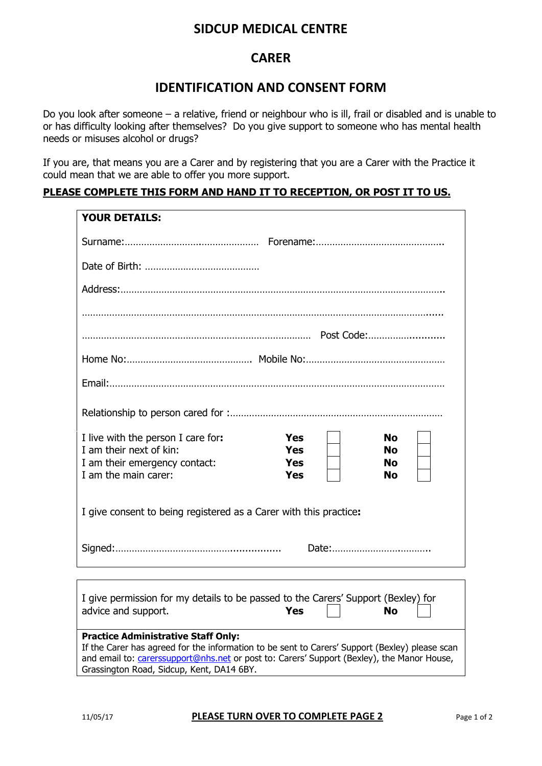## **SIDCUP MEDICAL CENTRE**

### **CARER**

### **IDENTIFICATION AND CONSENT FORM**

Do you look after someone – a relative, friend or neighbour who is ill, frail or disabled and is unable to or has difficulty looking after themselves? Do you give support to someone who has mental health needs or misuses alcohol or drugs?

If you are, that means you are a Carer and by registering that you are a Carer with the Practice it could mean that we are able to offer you more support.

#### **PLEASE COMPLETE THIS FORM AND HAND IT TO RECEPTION, OR POST IT TO US.**

| <b>YOUR DETAILS:</b>                                                                                                                         |
|----------------------------------------------------------------------------------------------------------------------------------------------|
|                                                                                                                                              |
|                                                                                                                                              |
|                                                                                                                                              |
|                                                                                                                                              |
|                                                                                                                                              |
|                                                                                                                                              |
|                                                                                                                                              |
|                                                                                                                                              |
|                                                                                                                                              |
| I live with the person I care for:<br><b>Yes</b><br><b>No</b>                                                                                |
| I am their next of kin:<br><b>Yes</b><br><b>No</b>                                                                                           |
| <b>Yes</b><br>I am their emergency contact:<br><b>No</b><br>I am the main carer:<br>Yes<br>No                                                |
|                                                                                                                                              |
| I give consent to being registered as a Carer with this practice:                                                                            |
|                                                                                                                                              |
|                                                                                                                                              |
|                                                                                                                                              |
| I give permission for my details to be passed to the Carers' Support (Bexley) for                                                            |
| advice and support.<br>Yes<br><b>No</b>                                                                                                      |
|                                                                                                                                              |
| <b>Practice Administrative Staff Only:</b><br>If the Carer has agreed for the information to be sent to Carers' Support (Bexley) please scan |
| and email to: <i>carerssupport@nhs.net</i> or post to: Carers' Support (Bexley), the Manor House,                                            |
| Grassington Road, Sidcup, Kent, DA14 6BY.                                                                                                    |